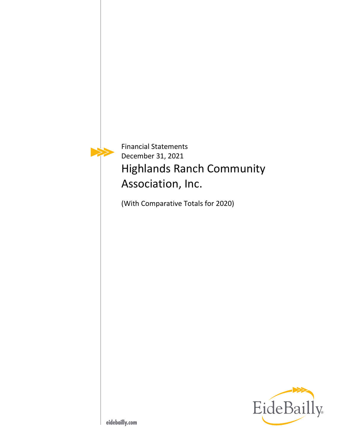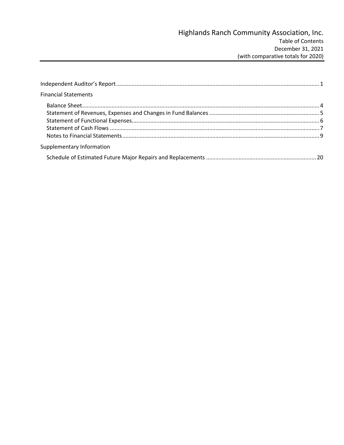| <b>Financial Statements</b> |  |
|-----------------------------|--|
|                             |  |
|                             |  |
|                             |  |
|                             |  |
|                             |  |
| Supplementary Information   |  |
|                             |  |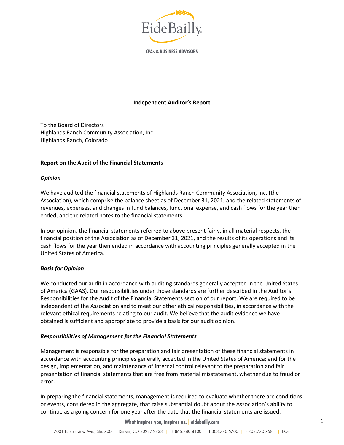

**CPAs & BUSINESS ADVISORS** 

#### **Independent Auditor's Report**

<span id="page-2-0"></span>To the Board of Directors Highlands Ranch Community Association, Inc. Highlands Ranch, Colorado

#### **Report on the Audit of the Financial Statements**

#### *Opinion*

We have audited the financial statements of Highlands Ranch Community Association, Inc. (the Association), which comprise the balance sheet as of December 31, 2021, and the related statements of revenues, expenses, and changes in fund balances, functional expense, and cash flows for the year then ended, and the related notes to the financial statements.

In our opinion, the financial statements referred to above present fairly, in all material respects, the financial position of the Association as of December 31, 2021, and the results of its operations and its cash flows for the year then ended in accordance with accounting principles generally accepted in the United States of America.

### *Basis for Opinion*

We conducted our audit in accordance with auditing standards generally accepted in the United States of America (GAAS). Our responsibilities under those standards are further described in the Auditor's Responsibilities for the Audit of the Financial Statements section of our report. We are required to be independent of the Association and to meet our other ethical responsibilities, in accordance with the relevant ethical requirements relating to our audit. We believe that the audit evidence we have obtained is sufficient and appropriate to provide a basis for our audit opinion.

#### *Responsibilities of Management for the Financial Statements*

Management is responsible for the preparation and fair presentation of these financial statements in accordance with accounting principles generally accepted in the United States of America; and for the design, implementation, and maintenance of internal control relevant to the preparation and fair presentation of financial statements that are free from material misstatement, whether due to fraud or error.

In preparing the financial statements, management is required to evaluate whether there are conditions or events, considered in the aggregate, that raise substantial doubt about the Association's ability to continue as a going concern for one year after the date that the financial statements are issued.

**What inspires you, inspires us. | eidebailly.com**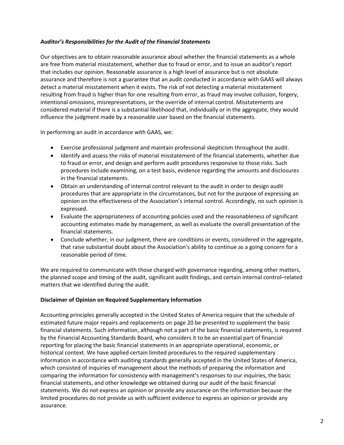## *Auditor's Responsibilities for the Audit of the Financial Statements*

Our objectives are to obtain reasonable assurance about whether the financial statements as a whole are free from material misstatement, whether due to fraud or error, and to issue an auditor's report that includes our opinion. Reasonable assurance is a high level of assurance but is not absolute assurance and therefore is not a guarantee that an audit conducted in accordance with GAAS will always detect a material misstatement when it exists. The risk of not detecting a material misstatement resulting from fraud is higher than for one resulting from error, as fraud may involve collusion, forgery, intentional omissions, misrepresentations, or the override of internal control. Misstatements are considered material if there is a substantial likelihood that, individually or in the aggregate, they would influence the judgment made by a reasonable user based on the financial statements.

In performing an audit in accordance with GAAS, we:

- Exercise professional judgment and maintain professional skepticism throughout the audit.
- Identify and assess the risks of material misstatement of the financial statements, whether due to fraud or error, and design and perform audit procedures responsive to those risks. Such procedures include examining, on a test basis, evidence regarding the amounts and disclosures in the financial statements.
- Obtain an understanding of internal control relevant to the audit in order to design audit procedures that are appropriate in the circumstances, but not for the purpose of expressing an opinion on the effectiveness of the Association's internal control. Accordingly, no such opinion is expressed.
- Evaluate the appropriateness of accounting policies used and the reasonableness of significant accounting estimates made by management, as well as evaluate the overall presentation of the financial statements.
- Conclude whether, in our judgment, there are conditions or events, considered in the aggregate, that raise substantial doubt about the Association's ability to continue as a going concern for a reasonable period of time.

We are required to communicate with those charged with governance regarding, among other matters, the planned scope and timing of the audit, significant audit findings, and certain internal control–related matters that we identified during the audit.

### **Disclaimer of Opinion on Required Supplementary Information**

Accounting principles generally accepted in the United States of America require that the schedule of estimated future major repairs and replacements on page 20 be presented to supplement the basic financial statements. Such information, although not a part of the basic financial statements, is required by the Financial Accounting Standards Board, who considers it to be an essential part of financial reporting for placing the basic financial statements in an appropriate operational, economic, or historical context. We have applied certain limited procedures to the required supplementary information in accordance with auditing standards generally accepted in the United States of America, which consisted of inquiries of management about the methods of preparing the information and comparing the information for consistency with management's responses to our inquiries, the basic financial statements, and other knowledge we obtained during our audit of the basic financial statements. We do not express an opinion or provide any assurance on the information because the limited procedures do not provide us with sufficient evidence to express an opinion or provide any assurance.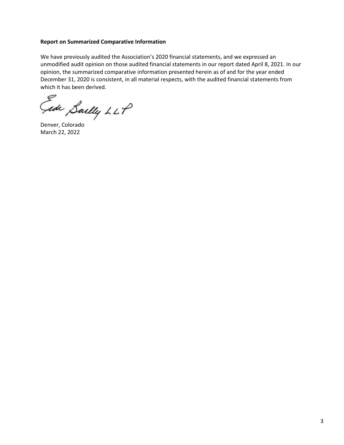#### **Report on Summarized Comparative Information**

We have previously audited the Association's 2020 financial statements, and we expressed an unmodified audit opinion on those audited financial statements in our report dated April 8, 2021. In our opinion, the summarized comparative information presented herein as of and for the year ended December 31, 2020 is consistent, in all material respects, with the audited financial statements from which it has been derived.

Gade Sailly LLP

Denver, Colorado March 22, 2022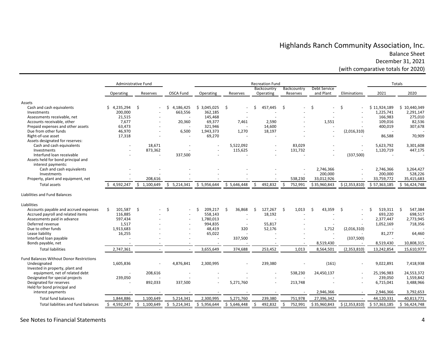# Highlands Ranch Community Association, Inc. Balance Sheet December 31, 2021

(with comparative totals for 2020)

<span id="page-5-1"></span><span id="page-5-0"></span>

|                                          |                 | Administrative Fund |                  |                          |              | <b>Recreation Fund</b> |                    |              |                | Totals       |               |
|------------------------------------------|-----------------|---------------------|------------------|--------------------------|--------------|------------------------|--------------------|--------------|----------------|--------------|---------------|
|                                          |                 |                     |                  |                          |              | Backcountry            | Backcountry        | Debt Service |                |              |               |
|                                          | Operating       | Reserves            | <b>OSCA Fund</b> | Operating                | Reserves     | Operating              | Reserves           | and Plant    | Eliminations   | 2021         | 2020          |
| Assets                                   |                 |                     |                  |                          |              |                        |                    |              |                |              |               |
| Cash and cash equivalents                | 4,235,294       | - \$                | 4,186,425<br>Ś.  | \$3,045,025              | \$           | 457,445                | -\$                | \$           | Ś              | \$11,924,189 | \$10,440,349  |
| Investments                              | 200,000         |                     | 663,556          | 362,185                  |              |                        |                    |              |                | 1,225,741    | 2,291,147     |
| Assessments receivable, net              | 21,515          |                     |                  | 145,468                  |              |                        |                    |              |                | 166,983      | 275,010       |
| Accounts receivable, other               | 7,677           |                     | 20,360           | 69,377                   | 7,461        | 2,590                  |                    | 1,551        |                | 109,016      | 82,536        |
| Prepaid expenses and other assets        | 63,473          |                     |                  | 321,946                  |              | 14,600                 |                    |              |                | 400,019      | 307,678       |
| Due from other funds                     | 46,970          |                     | 6,500            | 1,943,373                | 1,270        | 18,197                 |                    |              | (2,016,310)    |              |               |
| Right-of-use asset                       | 17,318          |                     |                  | 69,270                   |              |                        |                    |              |                | 86,588       | 70,909        |
| Assets designated for reserves:          |                 |                     |                  |                          |              |                        |                    |              |                |              |               |
| Cash and cash equivalents                |                 | 18.671              |                  |                          | 5,522,092    |                        | 83.029             |              |                | 5,623,792    | 3,301,608     |
| Investments                              |                 | 873,362             |                  |                          | 115,625      |                        | 131,732            |              |                | 1,120,719    | 447,175       |
| Interfund loan receivable                |                 |                     | 337,500          |                          |              |                        |                    |              | (337,500)      |              |               |
| Assets held for bond principal and       |                 |                     |                  |                          |              |                        |                    |              |                |              |               |
| interest payments:                       |                 |                     |                  |                          |              |                        |                    |              |                |              |               |
| Cash and cash equivalents                |                 |                     |                  |                          |              |                        |                    | 2,746,366    |                | 2,746,366    | 3,264,427     |
| Investments                              |                 |                     |                  |                          |              |                        |                    | 200,000      |                | 200,000      | 528,226       |
| Property, plant and equipment, net       |                 | 208,616             |                  |                          |              |                        | 538,230            | 33,012,926   |                | 33,759,772   | 35,415,683    |
| <b>Total assets</b>                      | 4,592,247       | \$1,100,649         | \$5,214,341      | \$5,956,644              | \$5,646,448  | \$<br>492,832          | $\zeta$<br>752,991 | \$35,960,843 | \$(2,353,810)  | \$57,363,185 | \$56,424,748  |
| Liabilities and Fund Balances            |                 |                     |                  |                          |              |                        |                    |              |                |              |               |
| Liabilities                              |                 |                     |                  |                          |              |                        |                    |              |                |              |               |
| Accounts payable and accrued expenses    | 101,587<br>Ŝ.   | - \$                | Ŝ.               | 209,217<br>Ŝ.            | 36,868<br>Ŝ. | Ŝ.<br>127,267          | -Ś<br>1,013        | -Ś<br>43,359 | Ŝ.             | 519,311<br>Ś | Ŝ.<br>547,384 |
| Accrued payroll and related items        | 116,885         |                     |                  | 558,143                  |              | 18,192                 |                    |              |                | 693,220      | 698,517       |
| Assessments paid in advance              | 597,434         |                     |                  | 1,780,013                |              |                        |                    |              | $\overline{a}$ | 2,377,447    | 2,773,945     |
| Deferred revenue                         | 1,517           |                     |                  | 994,835                  |              | 55,817                 |                    |              |                | 1,052,169    | 718,356       |
| Due to other funds                       | 1,913,683       |                     |                  | 48,419                   | 320          | 52,176                 |                    | 1,712        | (2,016,310)    |              |               |
| Lease liability                          | 16,255          |                     |                  | 65,022                   |              |                        |                    |              |                | 81,277       | 64,460        |
| Interfund loan payable                   |                 |                     |                  |                          | 337,500      |                        |                    |              | (337,500)      |              |               |
| Bonds payable, net                       |                 |                     |                  | $\overline{\phantom{a}}$ |              |                        |                    | 8,519,430    |                | 8,519,430    | 10,808,315    |
| <b>Total liabilities</b>                 | 2,747,361       |                     |                  | 3,655,649                | 374,688      | 253,452                | 1,013              | 8,564,501    | (2,353,810)    | 13,242,854   | 15,610,977    |
| Fund Balances Without Donor Restrictions |                 |                     |                  |                          |              |                        |                    |              |                |              |               |
| Undesignated                             | 1,605,836       |                     | 4,876,841        | 2,300,995                |              | 239,380                |                    | (161)        |                | 9,022,891    | 7,418,938     |
| Invested in property, plant and          |                 |                     |                  |                          |              |                        |                    |              |                |              |               |
| equipment, net of related debt           |                 | 208,616             |                  |                          |              |                        | 538,230            | 24,450,137   |                | 25,196,983   | 24,553,372    |
| Designated for special projects          | 239,050         |                     |                  |                          |              |                        |                    |              |                | 239,050      | 1,559,842     |
| Designated for reserves                  |                 | 892,033             | 337,500          |                          | 5,271,760    |                        | 213,748            |              |                | 6,715,041    | 3,488,966     |
| Held for bond principal and              |                 |                     |                  |                          |              |                        |                    |              |                |              |               |
| interest payments                        |                 |                     |                  |                          |              |                        |                    | 2,946,366    |                | 2,946,366    | 3,792,653     |
| <b>Total fund balances</b>               | 1,844,886       | 1,100,649           | 5,214,341        | 2,300,995                | 5,271,760    | 239,380                | 751,978            | 27,396,342   |                | 44,120,331   | 40,813,771    |
| Total liabilities and fund balances      | 4,592,247<br>S. | \$1,100,649         | \$5,214,341      | \$5,956,644              | \$5,646,448  | Ŝ.<br>492,832          | \$<br>752,991      | \$35,960,843 | \$(2,353,810)  | \$57,363,185 | \$56,424,748  |

#### See Notes to Financial Statements 4

ֺ֝֡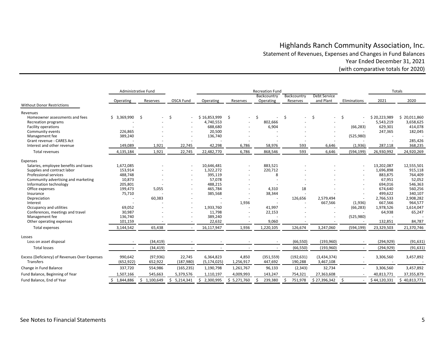# Highlands Ranch Community Association, Inc. Statement of Revenues, Expenses and Changes in Fund Balances Year Ended December 31, 2021 (with comparative totals for 2020)

<span id="page-6-0"></span>

|                                               | Administrative Fund |                 |                 |                 |             | <b>Recreation Fund</b> |              |              |              |              | Totals       |
|-----------------------------------------------|---------------------|-----------------|-----------------|-----------------|-------------|------------------------|--------------|--------------|--------------|--------------|--------------|
|                                               |                     |                 |                 |                 |             | Backcountry            | Backcountry  | Debt Service |              |              |              |
|                                               | Operating           | Reserves        | OSCA Fund       | Operating       | Reserves    | Operating              | Reserves     | and Plant    | Eliminations | 2021         | 2020         |
| <b>Without Donor Restrictions</b>             |                     |                 |                 |                 |             |                        |              |              |              |              |              |
| Revenues                                      |                     |                 |                 |                 |             |                        |              |              |              |              |              |
| Homeowner assessments and fees                | \$3,369,990         | Ŝ.              | Ŝ.              | \$16,853,999    | - \$        | \$                     | \$           | Ŝ.           | \$<br>٠      | \$20,223,989 | \$20,011,860 |
| Recreation programs                           |                     |                 |                 | 4,740,553       |             | 802,666                |              |              |              | 5,543,219    | 3,658,625    |
| Facility operations                           |                     |                 |                 | 688,680         |             | 6,904                  |              |              | (66, 283)    | 629,301      | 414,078      |
| Community events                              | 226,865             |                 |                 | 20,500          |             |                        |              |              |              | 247,365      | 182,045      |
| Management fee                                | 389,240             |                 |                 | 136,740         |             |                        |              |              | (525,980)    |              |              |
| Grant revenue - CARES Act                     |                     |                 |                 |                 |             |                        |              |              |              |              | 285,426      |
| Interest and other revenue                    | 149,089             | 1,921           | 22,745          | 42,298          | 6,786       | 58,976                 | 593          | 6,646        | (1,936)      | 287,118      | 368,235      |
| Total revenues                                | 4,135,184           | 1,921           | 22,745          | 22,482,770      | 6,786       | 868,546                | 593          | 6,646        | (594, 199)   | 26,930,992   | 24,920,269   |
| Expenses                                      |                     |                 |                 |                 |             |                        |              |              |              |              |              |
| Salaries, employee benefits and taxes         | 1,672,085           |                 |                 | 10,646,481      |             | 883,521                |              |              | ä,           | 13,202,087   | 12,555,501   |
| Supplies and contract labor                   | 153,914             |                 |                 | 1,322,272       |             | 220,712                |              |              |              | 1,696,898    | 915,118      |
| Professional services                         | 488,748             |                 |                 | 395,119         |             | 8                      |              |              |              | 883,875      | 764,409      |
| Community advertising and marketing           | 10,873              |                 |                 | 57,078          |             |                        |              |              |              | 67,951       | 52,052       |
| Information technology                        | 205,801             |                 |                 | 488,215         |             |                        |              |              |              | 694,016      | 546,363      |
| Office expenses                               | 199,473             | 5,055           |                 | 465,784         |             | 4,310                  | 18           |              |              | 674,640      | 560,256      |
| Insurance                                     | 75,710              |                 |                 | 385,568         |             | 38,344                 |              |              |              | 499,622      | 340,107      |
| Depreciation                                  |                     | 60,383          |                 |                 |             |                        | 126,656      | 2,579,494    |              | 2,766,533    | 2,908,282    |
| Interest                                      |                     |                 |                 |                 | 1,936       |                        |              | 667,566      | (1,936)      | 667,566      | 964,577      |
| Occupancy and utilities                       | 69,052              |                 |                 | 1,933,760       |             | 41,997                 |              |              | (66, 283)    | 1,978,526    | 1,614,047    |
| Conferences, meetings and travel              | 30,987              |                 |                 | 11,798          |             | 22,153                 |              |              |              | 64,938       | 65,247       |
| Management fee                                | 136,740             |                 |                 | 389,240         |             |                        |              |              | (525,980)    |              |              |
| Other operating expenses                      | 101,159             |                 |                 | 22,632          |             | 9,060                  |              |              |              | 132,851      | 84,787       |
| Total expenses                                | 3,144,542           | 65,438          |                 | 16,117,947      | 1,936       | 1,220,105              | 126,674      | 3,247,060    | (594, 199)   | 23,329,503   | 21,370,746   |
| Losses                                        |                     |                 |                 |                 |             |                        |              |              |              |              |              |
| Loss on asset disposal                        |                     | (34, 419)       |                 |                 |             |                        | (66, 550)    | (193, 960)   |              | (294, 929)   | (91, 631)    |
| <b>Total losses</b>                           | $\sim$              | (34, 419)       |                 |                 |             |                        | (66, 550)    | (193, 960)   |              | (294, 929)   | (91, 631)    |
| Excess (Deficiency) of Revenues Over Expenses | 990,642             | (97, 936)       | 22,745          | 6,364,823       | 4,850       | (351, 559)             | (192, 631)   | (3,434,374)  |              | 3,306,560    | 3,457,892    |
| Transfers                                     | (652, 922)          | 652,922         | (187, 980)      | (5, 174, 025)   | 1,256,917   | 447,692                | 190,288      | 3,467,108    |              |              |              |
| Change in Fund Balance                        | 337,720             | 554,986         | (165, 235)      | 1,190,798       | 1,261,767   | 96,133                 | (2, 343)     | 32,734       |              | 3,306,560    | 3,457,892    |
| Fund Balance, Beginning of Year               | 1,507,166           | 545,663         | 5,379,576       | 1,110,197       | 4,009,993   | 143,247                | 754,321      | 27,363,608   |              | 40,813,771   | 37,355,879   |
| Fund Balance, End of Year                     | 1,844,886           | 1,100,649<br>Ŝ. | 5,214,341<br>Ś. | 2,300,995<br>Ś. | \$5,271,760 | 239,380<br>\$          | 751,978<br>Ś | \$27,396,342 | $\zeta$      | \$44,120,331 | \$40,813,771 |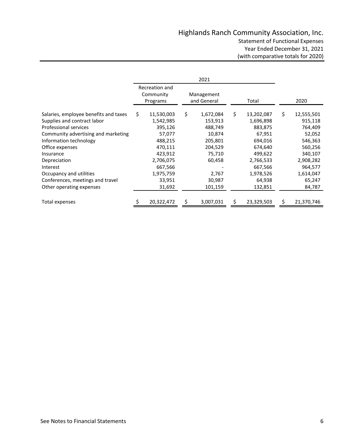<span id="page-7-0"></span>

|                                       | Recreation and<br>Community<br>Management<br>and General<br>Programs<br>Total |    |           |    | 2020       |                  |
|---------------------------------------|-------------------------------------------------------------------------------|----|-----------|----|------------|------------------|
| Salaries, employee benefits and taxes | \$<br>11,530,003                                                              | \$ | 1,672,084 | \$ | 13,202,087 | \$<br>12,555,501 |
| Supplies and contract labor           | 1,542,985                                                                     |    | 153,913   |    | 1,696,898  | 915,118          |
| <b>Professional services</b>          | 395,126                                                                       |    | 488,749   |    | 883,875    | 764,409          |
| Community advertising and marketing   | 57,077                                                                        |    | 10,874    |    | 67,951     | 52,052           |
| Information technology                | 488,215                                                                       |    | 205,801   |    | 694,016    | 546,363          |
| Office expenses                       | 470,111                                                                       |    | 204,529   |    | 674,640    | 560,256          |
| Insurance                             | 423,912                                                                       |    | 75,710    |    | 499,622    | 340,107          |
| Depreciation                          | 2,706,075                                                                     |    | 60,458    |    | 2,766,533  | 2,908,282        |
| Interest                              | 667,566                                                                       |    |           |    | 667,566    | 964,577          |
| Occupancy and utilities               | 1,975,759                                                                     |    | 2,767     |    | 1,978,526  | 1,614,047        |
| Conferences, meetings and travel      | 33,951                                                                        |    | 30,987    |    | 64,938     | 65,247           |
| Other operating expenses              | 31,692                                                                        |    | 101,159   |    | 132,851    | 84,787           |
| Total expenses                        | 20,322,472                                                                    |    | 3,007,031 |    | 23,329,503 | 21,370,746       |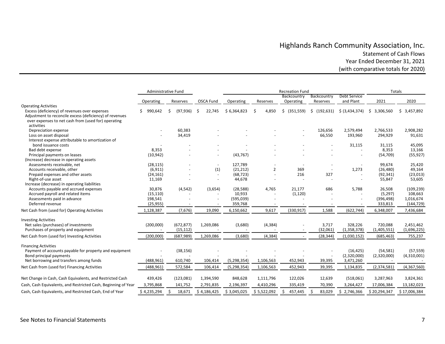# Highlands Ranch Community Association, Inc. Statement of Cash Flows Year Ended December 31, 2021 (with comparative totals for 2020)

<span id="page-8-0"></span>

|                                                                                       | Administrative Fund |                |                          |                     |                | <b>Recreation Fund</b>   |               |                          | Totals             |                       |  |  |
|---------------------------------------------------------------------------------------|---------------------|----------------|--------------------------|---------------------|----------------|--------------------------|---------------|--------------------------|--------------------|-----------------------|--|--|
|                                                                                       |                     |                |                          |                     |                | Backcountry              | Backcountry   | Debt Service             |                    |                       |  |  |
|                                                                                       | Operating           | Reserves       | <b>OSCA Fund</b>         | Operating           | Reserves       | Operating                | Reserves      | and Plant                | 2021               | 2020                  |  |  |
| <b>Operating Activities</b><br>Excess (deficiency) of revenues over expenses          | 990,642             | Ś<br>(97, 936) | 22,745<br>Ŝ              | \$6,364,823         | Ś<br>4,850     | (351, 559)<br>\$         | \$ (192, 631) | \$ (3,434,374)           | 3,306,560<br>S.    | \$3,457,892           |  |  |
| Adjustment to reconcile excess (deficiency) of revenues                               |                     |                |                          |                     |                |                          |               |                          |                    |                       |  |  |
| over expenses to net cash from (used for) operating                                   |                     |                |                          |                     |                |                          |               |                          |                    |                       |  |  |
| activities                                                                            |                     |                |                          |                     |                |                          |               |                          |                    |                       |  |  |
| Depreciation expense                                                                  |                     | 60,383         |                          |                     |                |                          | 126,656       | 2,579,494                | 2,766,533          | 2,908,282             |  |  |
| Loss on asset disposal                                                                |                     | 34,419         |                          |                     |                | $\overline{\phantom{a}}$ | 66,550        | 193,960                  | 294,929            | 91,631                |  |  |
| Interest expense attributable to amortization of                                      |                     |                |                          |                     |                |                          |               |                          |                    |                       |  |  |
| bond issuance costs                                                                   |                     |                |                          |                     |                |                          |               | 31,115                   | 31,115             | 45,095                |  |  |
| Bad debt expense                                                                      | 8,353               |                |                          |                     |                |                          |               |                          | 8,353              | 13,166                |  |  |
| Principal payments on leases                                                          | (10, 942)           |                | $\overline{a}$           | (43, 767)           |                |                          |               | $\sim$                   | (54, 709)          | (55, 927)             |  |  |
| (Increase) decrease in operating assets                                               |                     |                |                          |                     |                |                          |               |                          |                    |                       |  |  |
| Assessments receivable, net                                                           | (28, 115)           |                | $\overline{\phantom{a}}$ | 127,789             |                |                          |               |                          | 99,674             | 25,420                |  |  |
| Accounts receivable, other                                                            | (6, 911)            |                | (1)                      | (21, 212)           | $\overline{2}$ | 369                      |               | 1,273                    | (26, 480)          | 49,164                |  |  |
| Prepaid expenses and other assets                                                     | (24, 161)           |                |                          | (68, 723)           |                | 216                      | 327           |                          | (92, 341)          | (23, 013)             |  |  |
| Right-of-use asset                                                                    | 11,169              |                |                          | 44,678              |                |                          |               |                          | 55,847             | 53,605                |  |  |
| Increase (decrease) in operating liabilities<br>Accounts payable and accrued expenses |                     |                |                          |                     |                |                          |               |                          |                    |                       |  |  |
| Accrued payroll and related items                                                     | 30,876<br>(15, 110) | (4, 542)       | (3,654)                  | (28, 588)<br>10,933 | 4,765          | 21,177<br>(1, 120)       | 686           | 5,788                    | 26,508<br>(5, 297) | (109, 239)<br>108,663 |  |  |
| Assessments paid in advance                                                           | 198,541             |                |                          | (595,039)           |                |                          |               |                          | (396, 498)         | 1,016,674             |  |  |
| Deferred revenue                                                                      | (25, 955)           |                |                          | 359,768             |                |                          |               |                          | 333,813            | (144, 729)            |  |  |
|                                                                                       |                     |                |                          |                     |                |                          |               |                          |                    |                       |  |  |
| Net Cash from (used for) Operating Activities                                         | 1,128,387           | (7,676)        | 19,090                   | 6,150,662           | 9,617          | (330, 917)               | 1,588         | (622, 744)               | 6,348,007          | 7,436,684             |  |  |
| <b>Investing Activities</b>                                                           |                     |                |                          |                     |                |                          |               |                          |                    |                       |  |  |
| Net sales (purchases) of investments                                                  | (200,000)           | (672, 877)     | 1,269,086                | (3,680)             | (4, 384)       |                          | 3,717         | 328,226                  | 720,088            | 2,451,462             |  |  |
| Purchases of property and equipment                                                   |                     | (15, 112)      |                          |                     |                |                          | (32,061)      | (1,358,378)              | (1,405,551)        | (1,696,225)           |  |  |
| Net Cash from (used for) Investing Activities                                         | (200,000)           | (687, 989)     | 1,269,086                | (3,680)             | (4, 384)       |                          | (28, 344)     | (1,030,152)              | (685, 463)         | 755,237               |  |  |
|                                                                                       |                     |                |                          |                     |                |                          |               |                          |                    |                       |  |  |
| <b>Financing Activities</b>                                                           |                     |                |                          |                     |                |                          |               |                          |                    |                       |  |  |
| Payment of accounts payable for property and equipment                                |                     | (38, 156)      |                          |                     |                |                          |               | (16, 425)                | (54, 581)          | (57, 559)             |  |  |
| Bond principal payments<br>Net borrowing and transfers among funds                    |                     | 610,740        |                          |                     |                |                          |               | (2,320,000)<br>3,471,260 | (2,320,000)        | (4,310,001)           |  |  |
|                                                                                       | (488,961)           |                | 106,414                  | (5, 298, 354)       | 1,106,563      | 452,943                  | 39,395        |                          |                    |                       |  |  |
| Net Cash from (used for) Financing Activities                                         | (488,961)           | 572,584        | 106,414                  | (5, 298, 354)       | 1,106,563      | 452,943                  | 39,395        | 1,134,835                | (2,374,581)        | (4,367,560)           |  |  |
| Net Change in Cash, Cash Equivalents, and Restricted Cash                             | 439,426             | (123,081)      | 1,394,590                | 848,628             | 1,111,796      | 122,026                  | 12,639        | (518,061)                | 3,287,963          | 3,824,361             |  |  |
| Cash, Cash Equivalents, and Restricted Cash, Beginning of Year                        | 3,795,868           | 141,752        | 2,791,835                | 2,196,397           | 4,410,296      | 335,419                  | 70,390        | 3,264,427                | 17,006,384         | 13,182,023            |  |  |
|                                                                                       |                     |                |                          |                     |                |                          |               |                          |                    |                       |  |  |
| Cash, Cash Equivalents, and Restricted Cash, End of Year                              | \$4,235,294         | Ś.<br>18,671   | \$4,186,425              | \$3,045,025         | \$5,522,092    | \$<br>457,445            | Ś<br>83,029   | Ś.<br>2,746,366          | \$20,294,347       | \$17,006,384          |  |  |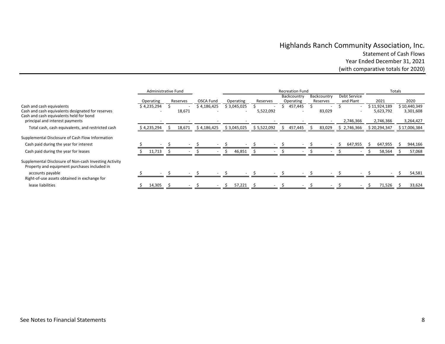# Highlands Ranch Community Association, Inc. Statement of Cash Flows Year Ended December 31, 2021 (with comparative totals for 2020)

|                                                                                                                           | Administrative Fund |             |          | <b>Recreation Fund</b> |   |             |             |               |                                     |  |                         | Totals |                           |  |                           |  |                           |
|---------------------------------------------------------------------------------------------------------------------------|---------------------|-------------|----------|------------------------|---|-------------|-------------|---------------|-------------------------------------|--|-------------------------|--------|---------------------------|--|---------------------------|--|---------------------------|
|                                                                                                                           |                     | Operating   | Reserves | OSCA Fund              |   | Operating   | Reserves    |               | Backcountry<br>Operating            |  | Backcountry<br>Reserves |        | Debt Service<br>and Plant |  | 2021                      |  | 2020                      |
| Cash and cash equivalents<br>Cash and cash equivalents designated for reserves<br>Cash and cash equivalents held for bond |                     | \$4,235,294 | 18,671   | \$4,186,425            |   | \$3,045,025 | 5,522,092   |               | 457,445<br>$\overline{\phantom{a}}$ |  | 83,029                  |        |                           |  | \$11,924,189<br>5,623,792 |  | \$10,440,349<br>3,301,608 |
| principal and interest payments<br>Total cash, cash equivalents, and restricted cash                                      |                     | \$4,235,294 | 18,671   | \$4,186,425            |   | \$3,045,025 | \$5,522,092 | $\mathcal{P}$ | 457,445                             |  | 83,029                  |        | 2,746,366<br>\$2,746,366  |  | 2,746,366<br>\$20,294,347 |  | 3,264,427<br>\$17,006,384 |
| Supplemental Disclosure of Cash Flow Information<br>Cash paid during the year for interest                                |                     |             |          |                        |   |             |             |               |                                     |  |                         |        | 647,955                   |  | 647,955                   |  | 944,166                   |
| Cash paid during the year for leases                                                                                      |                     | 11,713      |          |                        |   | 46,851      |             |               |                                     |  |                         |        |                           |  | 58,564                    |  | 57,068                    |
| Supplemental Disclosure of Non-cash Investing Activity<br>Property and equipment purchases included in                    |                     |             |          |                        |   |             |             |               |                                     |  |                         |        |                           |  |                           |  |                           |
| accounts payable<br>Right-of-use assets obtained in exchange for                                                          |                     |             |          |                        |   |             |             |               |                                     |  |                         |        |                           |  |                           |  | 54,581                    |
| lease liabilities                                                                                                         |                     | 14,305      |          |                        | S | 57,221      |             |               |                                     |  |                         |        |                           |  | 71,526                    |  | 33,624                    |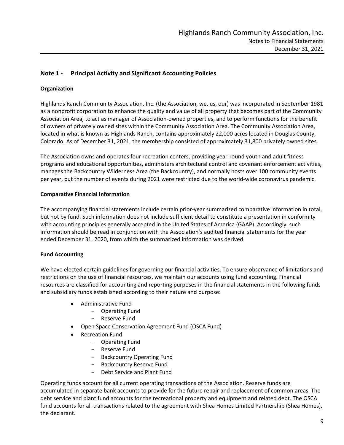# <span id="page-10-0"></span>**Note 1 - Principal Activity and Significant Accounting Policies**

## **Organization**

Highlands Ranch Community Association, Inc. (the Association, we, us, our) was incorporated in September 1981 as a nonprofit corporation to enhance the quality and value of all property that becomes part of the Community Association Area, to act as manager of Association-owned properties, and to perform functions for the benefit of owners of privately owned sites within the Community Association Area. The Community Association Area, located in what is known as Highlands Ranch, contains approximately 22,000 acres located in Douglas County, Colorado. As of December 31, 2021, the membership consisted of approximately 31,800 privately owned sites.

The Association owns and operates four recreation centers, providing year-round youth and adult fitness programs and educational opportunities, administers architectural control and covenant enforcement activities, manages the Backcountry Wilderness Area (the Backcountry), and normally hosts over 100 community events per year, but the number of events during 2021 were restricted due to the world-wide coronavirus pandemic.

### **Comparative Financial Information**

The accompanying financial statements include certain prior-year summarized comparative information in total, but not by fund. Such information does not include sufficient detail to constitute a presentation in conformity with accounting principles generally accepted in the United States of America (GAAP). Accordingly, such information should be read in conjunction with the Association's audited financial statements for the year ended December 31, 2020, from which the summarized information was derived.

## **Fund Accounting**

We have elected certain guidelines for governing our financial activities. To ensure observance of limitations and restrictions on the use of financial resources, we maintain our accounts using fund accounting. Financial resources are classified for accounting and reporting purposes in the financial statements in the following funds and subsidiary funds established according to their nature and purpose:

- Administrative Fund
	- Operating Fund
	- Reserve Fund
- Open Space Conservation Agreement Fund (OSCA Fund)
- Recreation Fund
	- Operating Fund
	- Reserve Fund
	- Backcountry Operating Fund
	- Backcountry Reserve Fund
	- Debt Service and Plant Fund

Operating funds account for all current operating transactions of the Association. Reserve funds are accumulated in separate bank accounts to provide for the future repair and replacement of common areas. The debt service and plant fund accounts for the recreational property and equipment and related debt. The OSCA fund accounts for all transactions related to the agreement with Shea Homes Limited Partnership (Shea Homes), the declarant.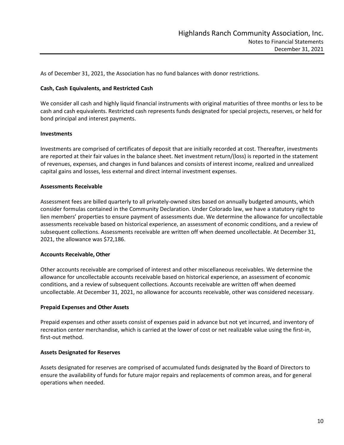As of December 31, 2021, the Association has no fund balances with donor restrictions.

#### **Cash, Cash Equivalents, and Restricted Cash**

We consider all cash and highly liquid financial instruments with original maturities of three months or less to be cash and cash equivalents. Restricted cash represents funds designated for special projects, reserves, or held for bond principal and interest payments.

#### **Investments**

Investments are comprised of certificates of deposit that are initially recorded at cost. Thereafter, investments are reported at their fair values in the balance sheet. Net investment return/(loss) is reported in the statement of revenues, expenses, and changes in fund balances and consists of interest income, realized and unrealized capital gains and losses, less external and direct internal investment expenses.

#### **Assessments Receivable**

Assessment fees are billed quarterly to all privately-owned sites based on annually budgeted amounts, which consider formulas contained in the Community Declaration. Under Colorado law, we have a statutory right to lien members' properties to ensure payment of assessments due. We determine the allowance for uncollectable assessments receivable based on historical experience, an assessment of economic conditions, and a review of subsequent collections. Assessments receivable are written off when deemed uncollectable. At December 31, 2021, the allowance was \$72,186.

### **Accounts Receivable, Other**

Other accounts receivable are comprised of interest and other miscellaneous receivables. We determine the allowance for uncollectable accounts receivable based on historical experience, an assessment of economic conditions, and a review of subsequent collections. Accounts receivable are written off when deemed uncollectable. At December 31, 2021, no allowance for accounts receivable, other was considered necessary.

#### **Prepaid Expenses and Other Assets**

Prepaid expenses and other assets consist of expenses paid in advance but not yet incurred, and inventory of recreation center merchandise, which is carried at the lower of cost or net realizable value using the first-in, first-out method.

#### **Assets Designated for Reserves**

Assets designated for reserves are comprised of accumulated funds designated by the Board of Directors to ensure the availability of funds for future major repairs and replacements of common areas, and for general operations when needed.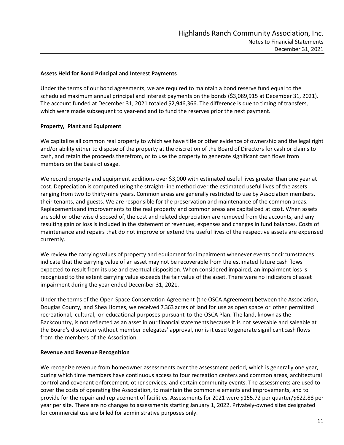### **Assets Held for Bond Principal and Interest Payments**

Under the terms of our bond agreements, we are required to maintain a bond reserve fund equal to the scheduled maximum annual principal and interest payments on the bonds (\$3,089,915 at December 31, 2021). The account funded at December 31, 2021 totaled \$2,946,366. The difference is due to timing of transfers, which were made subsequent to year-end and to fund the reserves prior the next payment.

### **Property, Plant and Equipment**

We capitalize all common real property to which we have title or other evidence of ownership and the legal right and/or ability either to dispose of the property at the discretion of the Board of Directors for cash or claims to cash, and retain the proceeds therefrom, or to use the property to generate significant cash flows from members on the basis of usage.

We record property and equipment additions over \$3,000 with estimated useful lives greater than one year at cost. Depreciation is computed using the straight-line method over the estimated useful lives of the assets ranging from two to thirty-nine years. Common areas are generally restricted to use by Association members, their tenants, and guests. We are responsible for the preservation and maintenance of the common areas. Replacements and improvements to the real property and common areas are capitalized at cost. When assets are sold or otherwise disposed of, the cost and related depreciation are removed from the accounts, and any resulting gain or loss is included in the statement of revenues, expenses and changes in fund balances. Costs of maintenance and repairs that do not improve or extend the useful lives of the respective assets are expensed currently.

We review the carrying values of property and equipment for impairment whenever events or circumstances indicate that the carrying value of an asset may not be recoverable from the estimated future cash flows expected to result from its use and eventual disposition. When considered impaired, an impairment loss is recognized to the extent carrying value exceeds the fair value of the asset. There were no indicators of asset impairment during the year ended December 31, 2021.

Under the terms of the Open Space Conservation Agreement (the OSCA Agreement) between the Association, Douglas County, and Shea Homes, we received 7,363 acres of land for use as open space or other permitted recreational, cultural, or educational purposes pursuant to the OSCA Plan. The land, known as the Backcountry, is not reflected as an asset in our financialstatements because it is not severable and saleable at the Board's discretion without member delegates' approval, nor is it used to generate significant cash flows from the members of the Association.

#### **Revenue and Revenue Recognition**

We recognize revenue from homeowner assessments over the assessment period, which is generally one year, during which time members have continuous access to four recreation centers and common areas, architectural control and covenant enforcement, other services, and certain community events. The assessments are used to cover the costs of operating the Association, to maintain the common elements and improvements, and to provide for the repair and replacement of facilities. Assessments for 2021 were \$155.72 per quarter/\$622.88 per year per site. There are no changes to assessments starting January 1, 2022. Privately-owned sites designated for commercial use are billed for administrative purposes only.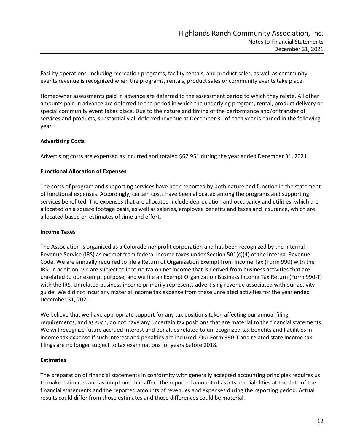Facility operations, including recreation programs, facility rentals, and product sales, as well as community events revenue is recognized when the programs, rentals, product sales or community events take place.

Homeowner assessments paid in advance are deferred to the assessment period to which they relate. All other amounts paid in advance are deferred to the period in which the underlying program, rental, product delivery or special community event takes place. Due to the nature and timing of the performance and/or transfer of services and products, substantially all deferred revenue at December 31 of each year is earned in the following year.

### **Advertising Costs**

Advertising costs are expensed as incurred and totaled \$67,951 during the year ended December 31, 2021.

### **Functional Allocation of Expenses**

The costs of program and supporting services have been reported by both nature and function in the statement of functional expenses. Accordingly, certain costs have been allocated among the programs and supporting services benefited. The expenses that are allocated include depreciation and occupancy and utilities, which are allocated on a square footage basis, as well as salaries, employee benefits and taxes and insurance, which are allocated based on estimates of time and effort.

### **Income Taxes**

The Association is organized as a Colorado nonprofit corporation and has been recognized by the Internal Revenue Service (IRS) as exempt from federal income taxes under Section 501(c)(4) of the Internal Revenue Code. We are annually required to file a Return of Organization Exempt from Income Tax (Form 990) with the IRS. In addition, we are subject to income tax on net income that is derived from business activities that are unrelated to our exempt purpose, and we file an Exempt Organization Business Income Tax Return (Form 990-T) with the IRS. Unrelated business income primarily represents advertising revenue associated with our activity guide. We did not incur any material income tax expense from these unrelated activities for the year ended December 31, 2021.

We believe that we have appropriate support for any tax positions taken affecting our annual filing requirements, and as such, do not have any uncertain tax positions that are material to the financial statements. We will recognize future accrued interest and penalties related to unrecognized tax benefits and liabilities in income tax expense if such interest and penalties are incurred. Our Form 990-T and related state income tax filings are no longer subject to tax examinations for years before 2018.

## **Estimates**

The preparation of financial statements in conformity with generally accepted accounting principles requires us to make estimates and assumptions that affect the reported amount of assets and liabilities at the date of the financial statements and the reported amounts of revenues and expenses during the reporting period. Actual results could differ from those estimates and those differences could be material.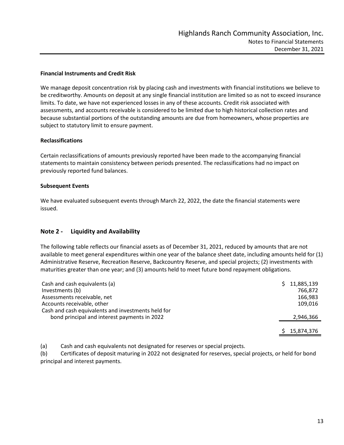### **Financial Instruments and Credit Risk**

We manage deposit concentration risk by placing cash and investments with financial institutions we believe to be creditworthy. Amounts on deposit at any single financial institution are limited so as not to exceed insurance limits. To date, we have not experienced losses in any of these accounts. Credit risk associated with assessments, and accounts receivable is considered to be limited due to high historical collection rates and because substantial portions of the outstanding amounts are due from homeowners, whose properties are subject to statutory limit to ensure payment.

### **Reclassifications**

Certain reclassifications of amounts previously reported have been made to the accompanying financial statements to maintain consistency between periods presented. The reclassifications had no impact on previously reported fund balances.

### **Subsequent Events**

We have evaluated subsequent events through March 22, 2022, the date the financial statements were issued.

## **Note 2 - Liquidity and Availability**

The following table reflects our financial assets as of December 31, 2021, reduced by amounts that are not available to meet general expenditures within one year of the balance sheet date, including amounts held for (1) Administrative Reserve, Recreation Reserve, Backcountry Reserve, and special projects; (2) investments with maturities greater than one year; and (3) amounts held to meet future bond repayment obligations.

| Cash and cash equivalents (a)                      | 11,885,139 |
|----------------------------------------------------|------------|
| Investments (b)                                    | 766,872    |
| Assessments receivable, net                        | 166,983    |
| Accounts receivable, other                         | 109,016    |
| Cash and cash equivalents and investments held for |            |
| bond principal and interest payments in 2022       | 2,946,366  |
|                                                    |            |
|                                                    | 15,874,376 |

(a) Cash and cash equivalents not designated for reserves or special projects.

(b) Certificates of deposit maturing in 2022 not designated for reserves, special projects, or held for bond principal and interest payments.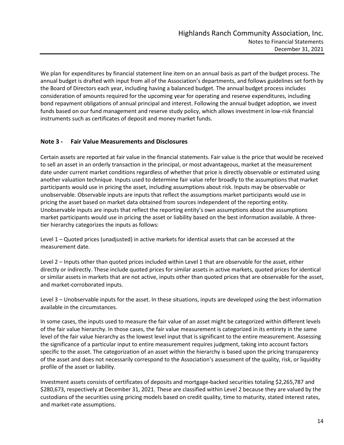We plan for expenditures by financial statement line item on an annual basis as part of the budget process. The annual budget is drafted with input from all of the Association's departments, and follows guidelines set forth by the Board of Directors each year, including having a balanced budget. The annual budget process includes consideration of amounts required for the upcoming year for operating and reserve expenditures, including bond repayment obligations of annual principal and interest. Following the annual budget adoption, we invest funds based on our fund management and reserve study policy, which allows investment in low-risk financial instruments such as certificates of deposit and money market funds.

# **Note 3 - Fair Value Measurements and Disclosures**

Certain assets are reported at fair value in the financial statements. Fair value is the price that would be received to sell an asset in an orderly transaction in the principal, or most advantageous, market at the measurement date under current market conditions regardless of whether that price is directly observable or estimated using another valuation technique. Inputs used to determine fair value refer broadly to the assumptions that market participants would use in pricing the asset, including assumptions about risk. Inputs may be observable or unobservable. Observable inputs are inputs that reflect the assumptions market participants would use in pricing the asset based on market data obtained from sources independent of the reporting entity. Unobservable inputs are inputs that reflect the reporting entity's own assumptions about the assumptions market participants would use in pricing the asset or liability based on the best information available. A threetier hierarchy categorizes the inputs as follows:

Level 1 – Quoted prices (unadjusted) in active markets for identical assets that can be accessed at the measurement date.

Level 2 – Inputs other than quoted prices included within Level 1 that are observable for the asset, either directly or indirectly. These include quoted prices for similar assets in active markets, quoted prices for identical or similar assets in markets that are not active, inputs other than quoted prices that are observable for the asset, and market-corroborated inputs.

Level 3 – Unobservable inputs for the asset. In these situations, inputs are developed using the best information available in the circumstances.

In some cases, the inputs used to measure the fair value of an asset might be categorized within different levels of the fair value hierarchy. In those cases, the fair value measurement is categorized in its entirety in the same level of the fair value hierarchy as the lowest level input that is significant to the entire measurement. Assessing the significance of a particular input to entire measurement requires judgment, taking into account factors specific to the asset. The categorization of an asset within the hierarchy is based upon the pricing transparency of the asset and does not necessarily correspond to the Association's assessment of the quality, risk, or liquidity profile of the asset or liability.

Investment assets consists of certificates of deposits and mortgage-backed securities totaling \$2,265,787 and \$280,673, respectively at December 31, 2021. These are classified within Level 2 because they are valued by the custodians of the securities using pricing models based on credit quality, time to maturity, stated interest rates, and market-rate assumptions.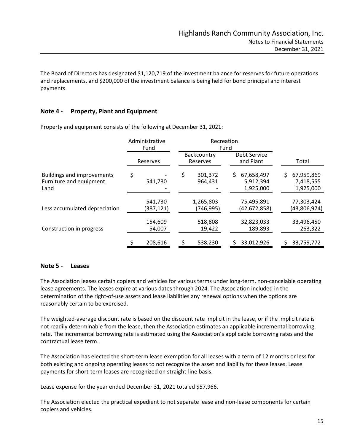The Board of Directors has designated \$1,120,719 of the investment balance for reserves for future operations and replacements, and \$200,000 of the investment balance is being held for bond principal and interest payments.

## **Note 4 - Property, Plant and Equipment**

|                                                                      |          | Administrative<br>Fund | Recreation<br>Fund       |                           |                                      |     |                                      |
|----------------------------------------------------------------------|----------|------------------------|--------------------------|---------------------------|--------------------------------------|-----|--------------------------------------|
|                                                                      | Reserves |                        | Backcountry<br>Reserves  | Debt Service<br>and Plant |                                      |     | Total                                |
| <b>Buildings and improvements</b><br>Furniture and equipment<br>Land | \$       | 541,730                | \$<br>301,372<br>964,431 | S.                        | 67,658,497<br>5,912,394<br>1,925,000 | \$. | 67,959,869<br>7,418,555<br>1,925,000 |
| Less accumulated depreciation                                        |          | 541,730<br>(387,121)   | 1,265,803<br>(746, 995)  |                           | 75,495,891<br>(42,672,858)           |     | 77,303,424<br>(43,806,974)           |
| Construction in progress                                             |          | 154,609<br>54,007      | 518,808<br>19,422        |                           | 32,823,033<br>189,893                |     | 33,496,450<br>263,322                |
|                                                                      |          | 208,616                | 538,230                  |                           | 33,012,926                           |     | 33,759,772                           |

Property and equipment consists of the following at December 31, 2021:

## **Note 5 - Leases**

The Association leases certain copiers and vehicles for various terms under long-term, non-cancelable operating lease agreements. The leases expire at various dates through 2024. The Association included in the determination of the right-of-use assets and lease liabilities any renewal options when the options are reasonably certain to be exercised.

The weighted-average discount rate is based on the discount rate implicit in the lease, or if the implicit rate is not readily determinable from the lease, then the Association estimates an applicable incremental borrowing rate. The incremental borrowing rate is estimated using the Association's applicable borrowing rates and the contractual lease term.

The Association has elected the short-term lease exemption for all leases with a term of 12 months or less for both existing and ongoing operating leases to not recognize the asset and liability for these leases. Lease payments for short-term leases are recognized on straight-line basis.

Lease expense for the year ended December 31, 2021 totaled \$57,966.

The Association elected the practical expedient to not separate lease and non-lease components for certain copiers and vehicles.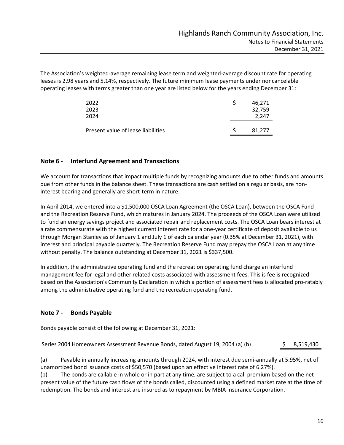The Association's weighted-average remaining lease term and weighted-average discount rate for operating leases is 2.98 years and 5.14%, respectively. The future minimum lease payments under noncancelable operating leases with terms greater than one year are listed below for the years ending December 31:

| 2022<br>2023                       | 46.271<br>32,759 |
|------------------------------------|------------------|
| 2024                               | 2.247            |
| Present value of lease liabilities | 81.277           |

# **Note 6 - Interfund Agreement and Transactions**

We account for transactions that impact multiple funds by recognizing amounts due to other funds and amounts due from other funds in the balance sheet. These transactions are cash settled on a regular basis, are noninterest bearing and generally are short-term in nature.

In April 2014, we entered into a \$1,500,000 OSCA Loan Agreement (the OSCA Loan), between the OSCA Fund and the Recreation Reserve Fund, which matures in January 2024. The proceeds of the OSCA Loan were utilized to fund an energy savings project and associated repair and replacement costs. The OSCA Loan bears interest at a rate commensurate with the highest current interest rate for a one-year certificate of deposit available to us through Morgan Stanley as of January 1 and July 1 of each calendar year (0.35% at December 31, 2021), with interest and principal payable quarterly. The Recreation Reserve Fund may prepay the OSCA Loan at any time without penalty. The balance outstanding at December 31, 2021 is \$337,500.

In addition, the administrative operating fund and the recreation operating fund charge an interfund management fee for legal and other related costs associated with assessment fees. This is fee is recognized based on the Association's Community Declaration in which a portion of assessment fees is allocated pro-ratably among the administrative operating fund and the recreation operating fund.

## **Note 7 - Bonds Payable**

Bonds payable consist of the following at December 31, 2021:

Series 2004 Homeowners Assessment Revenue Bonds, dated August 19, 2004 (a) (b)  $\qquad \qquad$  \$ 8,519,430

(a) Payable in annually increasing amounts through 2024, with interest due semi-annually at 5.95%, net of unamortized bond issuance costs of \$50,570 (based upon an effective interest rate of 6.27%).

(b) The bonds are callable in whole or in part at any time, are subject to a call premium based on the net present value of the future cash flows of the bonds called, discounted using a defined market rate at the time of redemption. The bonds and interest are insured as to repayment by MBIA Insurance Corporation.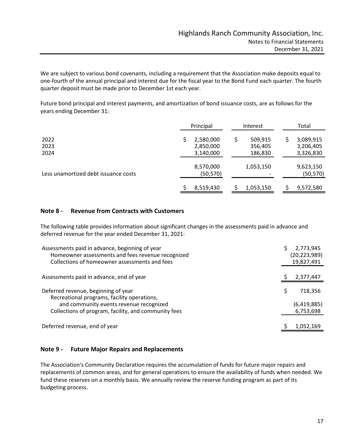We are subject to various bond covenants, including a requirement that the Association make deposits equal to one-fourth of the annual principal and interest due for the fiscal year to the Bond Fund each quarter. The fourth quarter deposit must be made prior to December 1st each year.

Future bond principal and interest payments, and amortization of bond issuance costs, are as follows for the years ending December 31:

|                                      | Principal                           | Interest                      | Total                                    |
|--------------------------------------|-------------------------------------|-------------------------------|------------------------------------------|
| 2022<br>2023<br>2024                 | 2,580,000<br>2,850,000<br>3,140,000 | 509,915<br>356,405<br>186,830 | 3,089,915<br>S<br>3,206,405<br>3,326,830 |
| Less unamortized debt issuance costs | 8,570,000<br>(50, 570)              | 1,053,150                     | 9,623,150<br>(50, 570)                   |
|                                      | 8,519,430                           | 1,053,150                     | 9,572,580                                |

### **Note 8 - Revenue from Contracts with Customers**

The following table provides information about significant changes in the assessments paid in advance and deferred revenue for the year ended December 31, 2021:

| Assessments paid in advance, beginning of year<br>Homeowner assessments and fees revenue recognized<br>Collections of homeowner assessments and fees | 2,773,945<br>(20, 223, 989)<br>19,827,491 |
|------------------------------------------------------------------------------------------------------------------------------------------------------|-------------------------------------------|
| Assessments paid in advance, end of year                                                                                                             | 2,377,447                                 |
| Deferred revenue, beginning of year<br>Recreational programs, facility operations,                                                                   | 718,356                                   |
| and community events revenue recognized<br>Collections of program, facility, and community fees                                                      | (6,419,885)<br>6,753,698                  |
| Deferred revenue, end of year                                                                                                                        | 1,052,169                                 |

## **Note 9 - Future Major Repairs and Replacements**

The Association's Community Declaration requires the accumulation of funds for future major repairs and replacements of common areas, and for general operations to ensure the availability of funds when needed. We fund these reserves on a monthly basis. We annually review the reserve funding program as part of its budgeting process.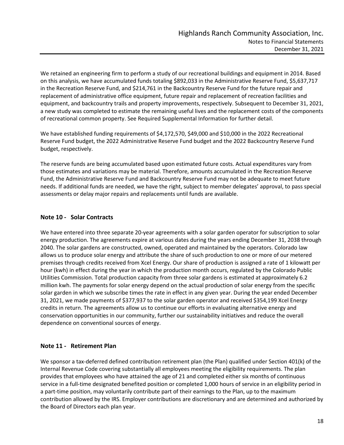We retained an engineering firm to perform a study of our recreational buildings and equipment in 2014. Based on this analysis, we have accumulated funds totaling \$892,033 in the Administrative Reserve Fund, \$5,637,717 in the Recreation Reserve Fund, and \$214,761 in the Backcountry Reserve Fund for the future repair and replacement of administrative office equipment, future repair and replacement of recreation facilities and equipment, and backcountry trails and property improvements, respectively. Subsequent to December 31, 2021, a new study was completed to estimate the remaining useful lives and the replacement costs of the components of recreational common property. See Required Supplemental Information for further detail.

We have established funding requirements of \$4,172,570, \$49,000 and \$10,000 in the 2022 Recreational Reserve Fund budget, the 2022 Administrative Reserve Fund budget and the 2022 Backcountry Reserve Fund budget, respectively.

The reserve funds are being accumulated based upon estimated future costs. Actual expenditures vary from those estimates and variations may be material. Therefore, amounts accumulated in the Recreation Reserve Fund, the Administrative Reserve Fund and Backcountry Reserve Fund may not be adequate to meet future needs. If additional funds are needed, we have the right, subject to member delegates' approval, to pass special assessments or delay major repairs and replacements until funds are available.

# **Note 10 - Solar Contracts**

We have entered into three separate 20-year agreements with a solar garden operator for subscription to solar energy production. The agreements expire at various dates during the years ending December 31, 2038 through 2040. The solar gardens are constructed, owned, operated and maintained by the operators. Colorado law allows us to produce solar energy and attribute the share of such production to one or more of our metered premises through credits received from Xcel Energy. Our share of production is assigned a rate of 1 kilowatt per hour (kwh) in effect during the year in which the production month occurs, regulated by the Colorado Public Utilities Commission. Total production capacity from three solar gardens is estimated at approximately 6.2 million kwh. The payments for solar energy depend on the actual production of solar energy from the specific solar garden in which we subscribe times the rate in effect in any given year. During the year ended December 31, 2021, we made payments of \$377,937 to the solar garden operator and received \$354,199 Xcel Energy credits in return. The agreements allow us to continue our efforts in evaluating alternative energy and conservation opportunities in our community, further our sustainability initiatives and reduce the overall dependence on conventional sources of energy.

# **Note 11 - Retirement Plan**

We sponsor a tax-deferred defined contribution retirement plan (the Plan) qualified under Section 401(k) of the Internal Revenue Code covering substantially all employees meeting the eligibility requirements. The plan provides that employees who have attained the age of 21 and completed either six months of continuous service in a full-time designated benefited position or completed 1,000 hours of service in an eligibility period in a part-time position, may voluntarily contribute part of their earnings to the Plan, up to the maximum contribution allowed by the IRS. Employer contributions are discretionary and are determined and authorized by the Board of Directors each plan year.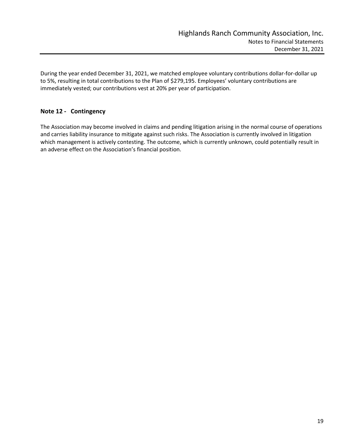During the year ended December 31, 2021, we matched employee voluntary contributions dollar-for-dollar up to 5%, resulting in total contributions to the Plan of \$279,195. Employees' voluntary contributions are immediately vested; our contributions vest at 20% per year of participation.

# **Note 12 - Contingency**

The Association may become involved in claims and pending litigation arising in the normal course of operations and carries liability insurance to mitigate against such risks. The Association is currently involved in litigation which management is actively contesting. The outcome, which is currently unknown, could potentially result in an adverse effect on the Association's financial position.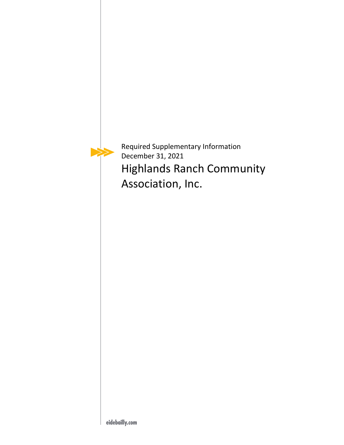